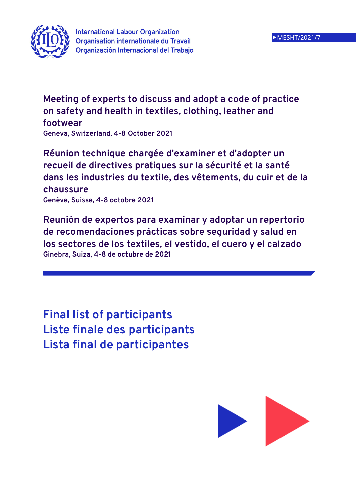

**Meeting of experts to discuss and adopt a code of practice on safety and health in textiles, clothing, leather and footwear**

**Geneva, Switzerland, 4-8 October 2021** 

**Réunion technique chargée d'examiner et d'adopter un recueil de directives pratiques sur la sécurité et la santé dans les industries du textile, des vêtements, du cuir et de la chaussure Genève, Suisse, 4-8 octobre 2021** 

**Reunión de expertos para examinar y adoptar un repertorio de recomendaciones prácticas sobre seguridad y salud en los sectores de los textiles, el vestido, el cuero y el calzado Ginebra, Suiza, 4-8 de octubre de 2021** 

**Final list of participants Liste finale des participants Lista final de participantes** 

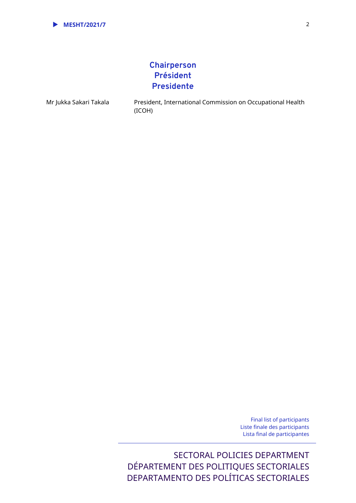

# **Chairperson Président Presidente**

Mr Jukka Sakari Takala President, International Commission on Occupational Health (ICOH)

> Final list of participants Liste finale des participants Lista final de participantes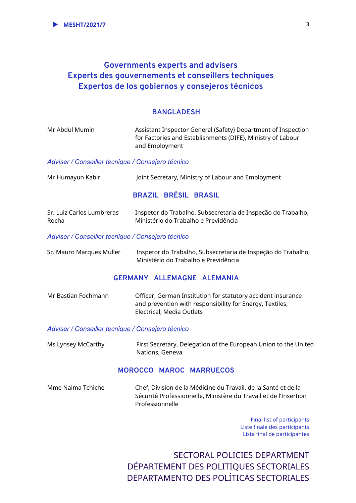# **Governments experts and advisers Experts des gouvernements et conseillers techniques Expertos de los gobiernos y consejeros técnicos**

## **BANGLADESH**

| Mr Abdul Mumin | Assistant Inspector General (Safety) Department of Inspection |
|----------------|---------------------------------------------------------------|
|                | for Factories and Establishments (DIFE), Ministry of Labour   |
|                | and Employment                                                |

#### *Adviser / Conseiller tecnique / Consejero técnico*

| Mr Humayun Kabir | Joint Secretary, Ministry of Labour and Employment |
|------------------|----------------------------------------------------|
|                  |                                                    |

# **BRAZIL BRÉSIL BRASIL**

| Sr. Luiz Carlos Lumbreras | Inspetor do Trabalho, Subsecretaria de Inspeção do Trabalho, |
|---------------------------|--------------------------------------------------------------|
| Rocha                     | Ministério do Trabalho e Previdência                         |

*Adviser / Conseiller tecnique / Consejero técnico* 

Sr. Mauro Marques Muller Inspetor do Trabalho, Subsecretaria de Inspeção do Trabalho, Ministério do Trabalho e Previdência

## **GERMANY ALLEMAGNE ALEMANIA**

| Mr Bastian Fochmann | Officer, German Institution for statutory accident insurance |
|---------------------|--------------------------------------------------------------|
|                     | and prevention with responsibility for Energy, Textiles,     |
|                     | Electrical, Media Outlets                                    |

#### *Adviser / Conseiller tecnique / Consejero técnico*

Ms Lynsey McCarthy First Secretary, Delegation of the European Union to the United Nations, Geneva

### **MOROCCO MAROC MARRUECOS**

Mme Naima Tchiche Chef, Division de la Médicine du Travail, de la Santé et de la Sécurité Professionnelle, Ministère du Travail et de l'Insertion Professionnelle

> Final list of participants Liste finale des participants Lista final de participantes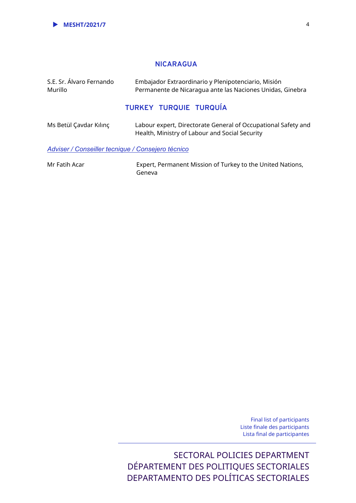### **NICARAGUA**

| S.E. Sr. Álvaro Fernando<br>Murillo               | Embajador Extraordinario y Plenipotenciario, Misión<br>Permanente de Nicaraqua ante las Naciones Unidas, Ginebra |
|---------------------------------------------------|------------------------------------------------------------------------------------------------------------------|
|                                                   | <b>TURKEY TURQUIE TURQUÍA</b>                                                                                    |
| Ms Betül Çavdar Kılınç                            | Labour expert, Directorate General of Occupational Safety and<br>Health, Ministry of Labour and Social Security  |
| Adviser / Conseiller tecnique / Consejero técnico |                                                                                                                  |

Mr Fatih Acar **Expert, Permanent Mission of Turkey to the United Nations,** Geneva

> Final list of participants Liste finale des participants Lista final de participantes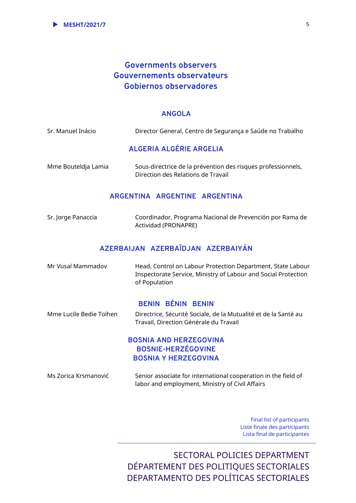# **Governments observers Gouvernements observateurs Gobiernos observadores**

#### **ANGOLA**

### **ALGERIA ALGÉRIE ARGELIA**

Mme Bouteldja Lamia Sous-directrice de la prévention des risques professionnels, Direction des Relations de Travail

#### **ARGENTINA ARGENTINE ARGENTINA**

Sr. Jorge Panaccia Coordinador, Programa Nacional de Prevención por Rama de Actividad (PRONAPRE)

## **AZERBAIJAN AZERBAÏDJAN AZERBAIYÁN**

| Mr Vusal Mammadov | Head, Control on Labour Protection Department, State Labour    |
|-------------------|----------------------------------------------------------------|
|                   | Inspectorate Service, Ministry of Labour and Social Protection |
|                   | of Population                                                  |

#### **BENIN BÉNIN BENIN**

Mme Lucile Bedie Toïhen Directrice, Sécurité Sociale, de la Mutualité et de la Santé au Travail, Direction Générale du Travail

## **BOSNIA AND HERZEGOVINA BOSNIE-HERZÉGOVINE BOSNIA Y HERZEGOVINA**

Ms Zorica Krsmanović Senior associate for international cooperation in the field of labor and employment, Ministry of Civil Affairs

> Final list of participants Liste finale des participants Lista final de participantes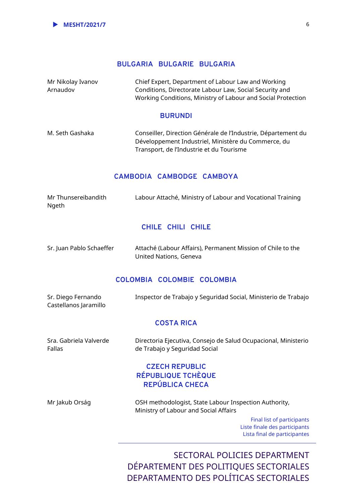### **BULGARIA BULGARIE BULGARIA**

Mr Nikolay Ivanov Arnaudov Chief Expert, Department of Labour Law and Working Conditions, Directorate Labour Law, Social Security and Working Conditions, Ministry of Labour and Social Protection

#### **BURUNDI**

M. Seth Gashaka Conseiller, Direction Générale de l'Industrie, Département du Développement Industriel, Ministère du Commerce, du Transport, de l'Industrie et du Tourisme

#### **CAMBODIA CAMBODGE CAMBOYA**

| Mr Thunsereibandith | Labour Attaché, Ministry of Labour and Vocational Training |  |
|---------------------|------------------------------------------------------------|--|
| Ngeth               |                                                            |  |

#### **CHILE CHILI CHILE**

| Sr. Juan Pablo Schaeffer | Attaché (Labour Affairs), Permanent Mission of Chile to the |
|--------------------------|-------------------------------------------------------------|
|                          | United Nations, Geneva                                      |

#### **COLOMBIA COLOMBIE COLOMBIA**

| Sr. Diego Fernando<br>Castellanos Jaramillo | Inspector de Trabajo y Seguridad Social, Ministerio de Trabajo                                  |
|---------------------------------------------|-------------------------------------------------------------------------------------------------|
|                                             | <b>COSTA RICA</b>                                                                               |
| Sra. Gabriela Valverde<br>Fallas            | Directoria Ejecutiva, Consejo de Salud Ocupacional, Ministerio<br>de Trabajo y Seguridad Social |
|                                             | <b>CZECH REPUBLIC</b><br>RÉPUBLIQUE TCHÈQUE<br>REPÚBLICA CHECA                                  |

Mr Jakub Orság OSH methodologist, State Labour Inspection Authority, Ministry of Labour and Social Affairs

> Final list of participants Liste finale des participants Lista final de participantes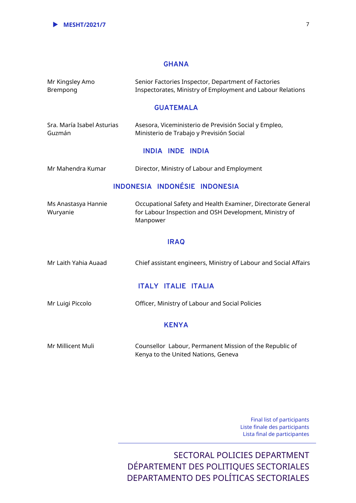#### **GHANA**

| Mr Kingsley Amo<br>Brempong          | Senior Factories Inspector, Department of Factories<br>Inspectorates, Ministry of Employment and Labour Relations                  |  |
|--------------------------------------|------------------------------------------------------------------------------------------------------------------------------------|--|
|                                      | <b>GUATEMALA</b>                                                                                                                   |  |
| Sra. María Isabel Asturias<br>Guzmán | Asesora, Viceministerio de Previsión Social y Empleo,<br>Ministerio de Trabajo y Previsión Social                                  |  |
|                                      | <b>INDIA INDE INDIA</b>                                                                                                            |  |
| Mr Mahendra Kumar                    | Director, Ministry of Labour and Employment                                                                                        |  |
| INDONESIA INDONÉSIE INDONESIA        |                                                                                                                                    |  |
| Ms Anastasya Hannie<br>Wuryanie      | Occupational Safety and Health Examiner, Directorate General<br>for Labour Inspection and OSH Development, Ministry of<br>Manpower |  |
| <b>IRAQ</b>                          |                                                                                                                                    |  |
| Mr Laith Yahia Auaad                 | Chief assistant engineers, Ministry of Labour and Social Affairs                                                                   |  |
| <b>ITALY ITALIE ITALIA</b>           |                                                                                                                                    |  |
| Mr Luigi Piccolo                     | Officer, Ministry of Labour and Social Policies                                                                                    |  |
| <b>KENYA</b>                         |                                                                                                                                    |  |
| Mr Millicent Muli                    | Counsellor Labour, Permanent Mission of the Republic of<br>Kenya to the United Nations, Geneva                                     |  |

Final list of participants Liste finale des participants Lista final de participantes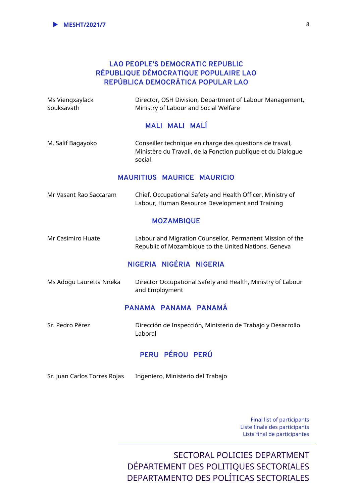### **LAO PEOPLE'S DEMOCRATIC REPUBLIC RÉPUBLIQUE DÉMOCRATIQUE POPULAIRE LAO REPÚBLICA DEMOCRÁTICA POPULAR LAO**

| Ms Viengxaylack<br>Souksavath     | Director, OSH Division, Department of Labour Management,<br>Ministry of Labour and Social Welfare                                  |  |
|-----------------------------------|------------------------------------------------------------------------------------------------------------------------------------|--|
|                                   | <b>MALI MALI MALÍ</b>                                                                                                              |  |
| M. Salif Bagayoko                 | Conseiller technique en charge des questions de travail,<br>Ministère du Travail, de la Fonction publique et du Dialogue<br>social |  |
| <b>MAURITIUS MAURICE MAURICIO</b> |                                                                                                                                    |  |
| Mr Vasant Rao Saccaram            | Chief, Occupational Safety and Health Officer, Ministry of<br>Labour, Human Resource Development and Training                      |  |
|                                   | <b>MOZAMBIQUE</b>                                                                                                                  |  |
| Mr Casimiro Huate                 | Labour and Migration Counsellor, Permanent Mission of the<br>Republic of Mozambique to the United Nations, Geneva                  |  |
|                                   | NIGERIA NIGÉRIA NIGERIA                                                                                                            |  |
| Ms Adogu Lauretta Nneka           | Director Occupational Safety and Health, Ministry of Labour<br>and Employment                                                      |  |
|                                   | PANAMA PANAMA PANAMÁ                                                                                                               |  |
| Sr. Pedro Pérez                   | Dirección de Inspección, Ministerio de Trabajo y Desarrollo<br>Laboral                                                             |  |
|                                   | PERU PÉROU PERÚ                                                                                                                    |  |

Sr. Juan Carlos Torres Rojas Ingeniero, Ministerio del Trabajo

Final list of participants Liste finale des participants Lista final de participantes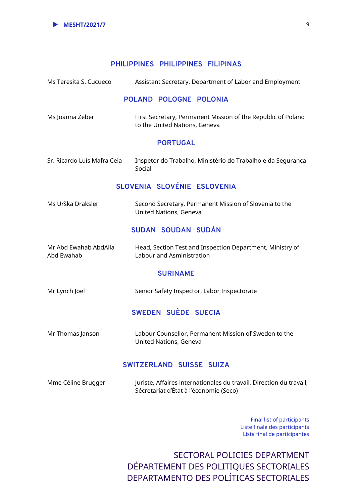### **PHILIPPINES PHILIPPINES FILIPINAS**

| Ms Teresita S. Cucueco              |        |                               |                                                        | Assistant Secretary, Department of Labor and Employment             |
|-------------------------------------|--------|-------------------------------|--------------------------------------------------------|---------------------------------------------------------------------|
|                                     |        | POLAND POLOGNE POLONIA        |                                                        |                                                                     |
| Ms Joanna Żeber                     |        | to the United Nations, Geneva |                                                        | First Secretary, Permanent Mission of the Republic of Poland        |
|                                     |        | <b>PORTUGAL</b>               |                                                        |                                                                     |
| Sr. Ricardo Luís Mafra Ceia         | Social |                               |                                                        | Inspetor do Trabalho, Ministério do Trabalho e da Segurança         |
|                                     |        |                               | SLOVENIA SLOVÉNIE ESLOVENIA                            |                                                                     |
| Ms Urška Draksler                   |        | United Nations, Geneva        | Second Secretary, Permanent Mission of Slovenia to the |                                                                     |
|                                     |        | SUDAN SOUDAN SUDÁN            |                                                        |                                                                     |
| Mr Abd Ewahab AbdAlla<br>Abd Ewahab |        | Labour and Asministration     |                                                        | Head, Section Test and Inspection Department, Ministry of           |
|                                     |        | <b>SURINAME</b>               |                                                        |                                                                     |
| Mr Lynch Joel                       |        |                               | Senior Safety Inspector, Labor Inspectorate            |                                                                     |
|                                     |        | SWEDEN SUÈDE SUECIA           |                                                        |                                                                     |
| Mr Thomas Janson                    |        | United Nations, Geneva        | Labour Counsellor, Permanent Mission of Sweden to the  |                                                                     |
|                                     |        | SWITZERLAND SUISSE SUIZA      |                                                        |                                                                     |
| Mme Céline Brugger                  |        |                               | Sécretariat d'État à l'économie (Seco)                 | Juriste, Affaires internationales du travail, Direction du travail, |
|                                     |        |                               |                                                        | <b>Final list of participants</b>                                   |

 Liste finale des participants Lista final de participantes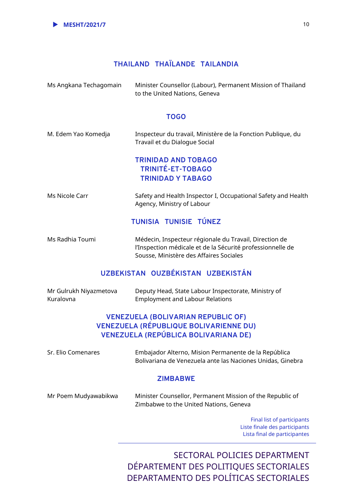

## **THAILAND THAÏLANDE TAILANDIA**

| Ms Angkana Techagomain | Minister Counsellor (Labour), Permanent Mission of Thailand |
|------------------------|-------------------------------------------------------------|
|                        | to the United Nations, Geneva                               |

#### **TOGO**

| M. Edem Yao Komedja | Inspecteur du travail, Ministère de la Fonction Publique, du<br>Travail et du Dialogue Social |  |
|---------------------|-----------------------------------------------------------------------------------------------|--|
|                     | <b>TRINIDAD AND TOBAGO</b><br><b>TRINITÉ-ET-TOBAGO</b><br><b>TRINIDAD Y TABAGO</b>            |  |
| Ms Nicole Carr      | Safety and Health Inspector I, Occupational Safety and Health<br>Agency, Ministry of Labour   |  |

## **TUNISIA TUNISIE TÚNEZ**

Ms Radhia Toumi Médecin, Inspecteur régionale du Travail, Direction de l'Inspection médicale et de la Sécurité professionnelle de Sousse, Ministère des Affaires Sociales

## **UZBEKISTAN OUZBÉKISTAN UZBEKISTÁN**

| Mr Gulrukh Niyazmetova | Deputy Head, State Labour Inspectorate, Ministry of |
|------------------------|-----------------------------------------------------|
| Kuralovna              | <b>Employment and Labour Relations</b>              |

## **VENEZUELA (BOLIVARIAN REPUBLIC OF) VENEZUELA (RÉPUBLIQUE BOLIVARIENNE DU) VENEZUELA (REPÚBLICA BOLIVARIANA DE)**

| Sr. Elio Comenares | Embajador Alterno, Mision Permanente de la República<br>Bolivariana de Venezuela ante las Naciones Unidas, Ginebra |
|--------------------|--------------------------------------------------------------------------------------------------------------------|
|                    | <b>ZIMBABWE</b>                                                                                                    |
|                    | فاللاحقان والمنافس المستنبذ والمتحافظ والمنافس والمنافس والمنافس والمنافسة والمنافسة والمنافسة والمتحدث            |

Mr Poem Mudyawabikwa Minister Counsellor, Permanent Mission of the Republic of Zimbabwe to the United Nations, Geneva

> Final list of participants Liste finale des participants Lista final de participantes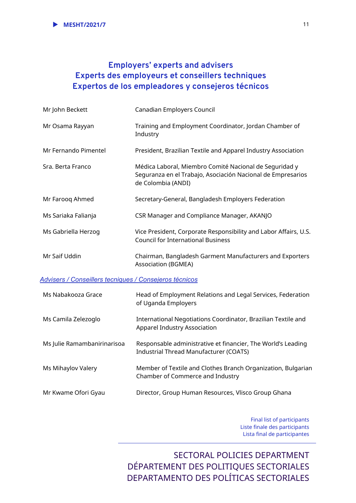# **Employers' experts and advisers Experts des employeurs et conseillers techniques Expertos de los empleadores y consejeros técnicos**

| Mr John Beckett                                        | Canadian Employers Council                                                                                                                  |
|--------------------------------------------------------|---------------------------------------------------------------------------------------------------------------------------------------------|
| Mr Osama Rayyan                                        | Training and Employment Coordinator, Jordan Chamber of<br>Industry                                                                          |
| Mr Fernando Pimentel                                   | President, Brazilian Textile and Apparel Industry Association                                                                               |
| Sra. Berta Franco                                      | Médica Laboral, Miembro Comité Nacional de Seguridad y<br>Seguranza en el Trabajo, Asociación Nacional de Empresarios<br>de Colombia (ANDI) |
| Mr Farooq Ahmed                                        | Secretary-General, Bangladesh Employers Federation                                                                                          |
| Ms Sariaka Falianja                                    | CSR Manager and Compliance Manager, AKANJO                                                                                                  |
| Ms Gabriella Herzog                                    | Vice President, Corporate Responsibility and Labor Affairs, U.S.<br><b>Council for International Business</b>                               |
| Mr Saif Uddin                                          | Chairman, Bangladesh Garment Manufacturers and Exporters<br><b>Association (BGMEA)</b>                                                      |
| Advisers / Conseillers tecniques / Consejeros técnicos |                                                                                                                                             |
| Ms Nabakooza Grace                                     | Head of Employment Relations and Legal Services, Federation<br>of Uganda Employers                                                          |
| Ms Camila Zelezoglo                                    | International Negotiations Coordinator, Brazilian Textile and<br>Apparel Industry Association                                               |
| Ms Julie Ramambanirinarisoa                            | Responsable administrative et financier, The World's Leading<br><b>Industrial Thread Manufacturer (COATS)</b>                               |
| Ms Mihaylov Valery                                     | Member of Textile and Clothes Branch Organization, Bulgarian<br>Chamber of Commerce and Industry                                            |
| Mr Kwame Ofori Gyau                                    | Director, Group Human Resources, Vlisco Group Ghana                                                                                         |
|                                                        |                                                                                                                                             |

Final list of participants Liste finale des participants Lista final de participantes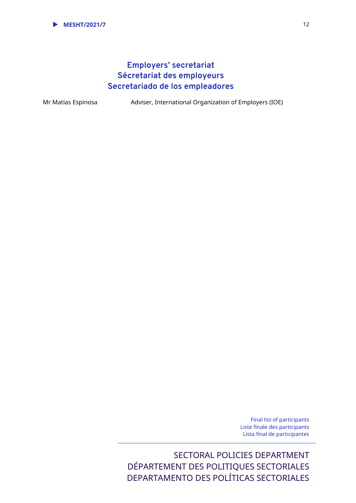# **Employers' secretariat Sécretariat des employeurs Secretariado de los empleadores**

Mr Matias Espinosa Adviser, International Organization of Employers (IOE)

Final list of participants Liste finale des participants Lista final de participantes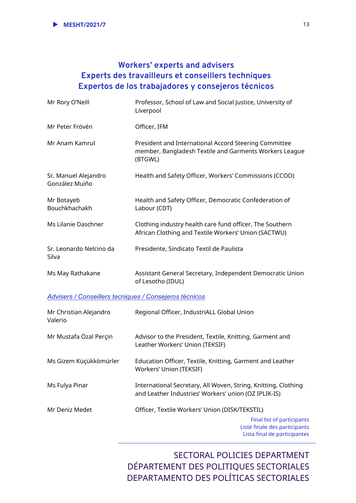# **Workers' experts and advisers Experts des travailleurs et conseillers techniques Expertos de los trabajadores y consejeros técnicos**

| Mr Rory O'Neill                                        | Professor, School of Law and Social Justice, University of<br>Liverpool                                                    |
|--------------------------------------------------------|----------------------------------------------------------------------------------------------------------------------------|
| Mr Peter Frövén                                        | Officer, IFM                                                                                                               |
| Mr Anam Kamrul                                         | President and International Accord Steering Committee<br>member, Bangladesh Textile and Garments Workers League<br>(BTGWL) |
| Sr. Manuel Alejandro<br>González Muiño                 | Health and Safety Officer, Workers' Commissions (CCOO)                                                                     |
| Mr Botayeb<br>Bouchkhachakh                            | Health and Safety Officer, Democratic Confederation of<br>Labour (CDT)                                                     |
| Ms Lilanie Daschner                                    | Clothing industry health care fund officer, The Southern<br>African Clothing and Textile Workers' Union (SACTWU)           |
| Sr. Leonardo Nelcino da<br>Silva                       | Presidente, Sindicato Textil de Paulista                                                                                   |
| Ms May Rathakane                                       | Assistant General Secretary, Independent Democratic Union<br>of Lesotho (IDUL)                                             |
| Advisers / Conseillers tecniques / Consejeros técnicos |                                                                                                                            |
| Mr Christian Alejandro<br>Valerio                      | Regional Officer, IndustriALL Global Union                                                                                 |
| Mr Mustafa Özal Perçin                                 | Advisor to the President, Textile, Knitting, Garment and<br>Leather Workers' Union (TEKSIF)                                |

Ms Gizem Küçükkömürler Education Officer, Textile, Knitting, Garment and Leather Workers' Union (TEKSIF)

Ms Fulya Pinar **International Secretary, All Woven, String, Knitting, Clothing** and Leather Industries' Workers' union (OZ IPLIK-IS)

Mr Deniz Medet Officer, Textile Workers' Union (DISK/TEKSTIL)

Final list of participants Liste finale des participants Lista final de participantes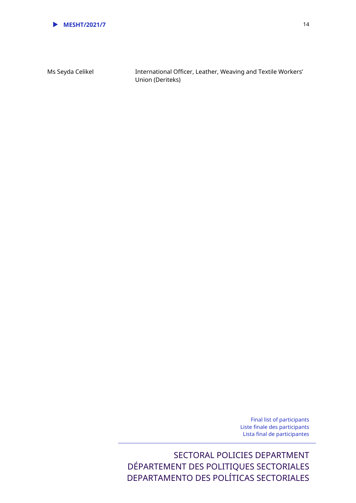

Ms Seyda Celikel **International Officer, Leather, Weaving and Textile Workers'** Union (Deriteks)

> Final list of participants Liste finale des participants Lista final de participantes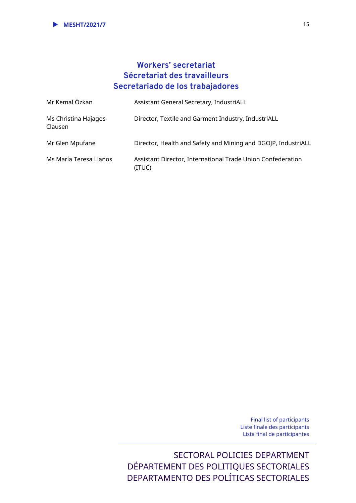# **Workers' secretariat Sécretariat des travailleurs Secretariado de los trabajadores**

| Mr Kemal Özkan                   | Assistant General Secretary, IndustriALL                              |
|----------------------------------|-----------------------------------------------------------------------|
| Ms Christina Hajagos-<br>Clausen | Director, Textile and Garment Industry, IndustriALL                   |
| Mr Glen Mpufane                  | Director, Health and Safety and Mining and DGOJP, IndustriALL         |
| Ms María Teresa Llanos           | Assistant Director, International Trade Union Confederation<br>(ITUC) |

Final list of participants Liste finale des participants Lista final de participantes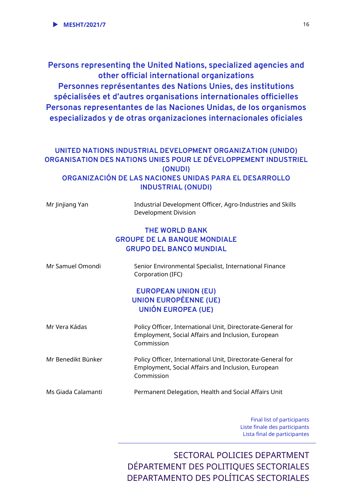**Persons representing the United Nations, specialized agencies and other official international organizations Personnes représentantes des Nations Unies, des institutions spécialisées et d'autres organisations internationales officielles Personas representantes de las Naciones Unidas, de los organismos especializados y de otras organizaciones internacionales oficiales** 

## **UNITED NATIONS INDUSTRIAL DEVELOPMENT ORGANIZATION (UNIDO) ORGANISATION DES NATIONS UNIES POUR LE DÉVELOPPEMENT INDUSTRIEL (ONUDI) ORGANIZACIÓN DE LAS NACIONES UNIDAS PARA EL DESARROLLO INDUSTRIAL (ONUDI)**

| Mr Jinjiang Yan    | Industrial Development Officer, Agro-Industries and Skills<br>Development Division                                              |
|--------------------|---------------------------------------------------------------------------------------------------------------------------------|
|                    | <b>THE WORLD BANK</b><br><b>GROUPE DE LA BANQUE MONDIALE</b><br><b>GRUPO DEL BANCO MUNDIAL</b>                                  |
| Mr Samuel Omondi   | Senior Environmental Specialist, International Finance<br>Corporation (IFC)                                                     |
|                    | <b>EUROPEAN UNION (EU)</b><br><b>UNION EUROPÉENNE (UE)</b><br><b>UNIÓN EUROPEA (UE)</b>                                         |
| Mr Vera Kádas      | Policy Officer, International Unit, Directorate-General for<br>Employment, Social Affairs and Inclusion, European<br>Commission |
| Mr Benedikt Bünker | Policy Officer, International Unit, Directorate-General for<br>Employment, Social Affairs and Inclusion, European<br>Commission |
| Ms Giada Calamanti | Permanent Delegation, Health and Social Affairs Unit                                                                            |

Final list of participants Liste finale des participants Lista final de participantes